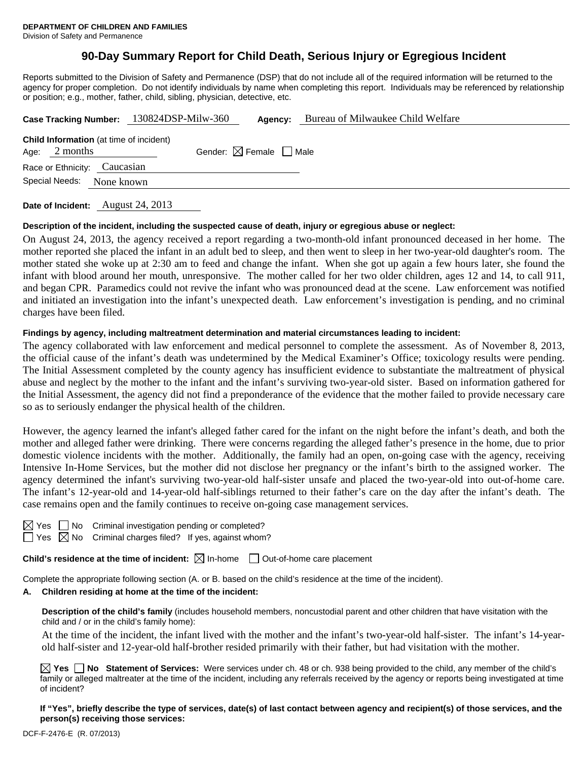# **90-Day Summary Report for Child Death, Serious Injury or Egregious Incident**

Reports submitted to the Division of Safety and Permanence (DSP) that do not include all of the required information will be returned to the agency for proper completion. Do not identify individuals by name when completing this report. Individuals may be referenced by relationship or position; e.g., mother, father, child, sibling, physician, detective, etc.

|                                                                   |  | Case Tracking Number: 130824DSP-Milw-360 | Agency:                                | Bureau of Milwaukee Child Welfare |  |  |
|-------------------------------------------------------------------|--|------------------------------------------|----------------------------------------|-----------------------------------|--|--|
| <b>Child Information</b> (at time of incident)<br>Age: $2$ months |  |                                          | Gender: $\boxtimes$ Female $\Box$ Male |                                   |  |  |
| Race or Ethnicity: Caucasian                                      |  |                                          |                                        |                                   |  |  |
| Special Needs:<br>None known                                      |  |                                          |                                        |                                   |  |  |
|                                                                   |  |                                          |                                        |                                   |  |  |

**Date of Incident:** August 24, 2013

#### **Description of the incident, including the suspected cause of death, injury or egregious abuse or neglect:**

On August 24, 2013, the agency received a report regarding a two-month-old infant pronounced deceased in her home. The mother reported she placed the infant in an adult bed to sleep, and then went to sleep in her two-year-old daughter's room. The mother stated she woke up at 2:30 am to feed and change the infant. When she got up again a few hours later, she found the infant with blood around her mouth, unresponsive. The mother called for her two older children, ages 12 and 14, to call 911, and began CPR. Paramedics could not revive the infant who was pronounced dead at the scene. Law enforcement was notified and initiated an investigation into the infant's unexpected death. Law enforcement's investigation is pending, and no criminal charges have been filed.

### **Findings by agency, including maltreatment determination and material circumstances leading to incident:**

The agency collaborated with law enforcement and medical personnel to complete the assessment. As of November 8, 2013, the official cause of the infant's death was undetermined by the Medical Examiner's Office; toxicology results were pending. The Initial Assessment completed by the county agency has insufficient evidence to substantiate the maltreatment of physical abuse and neglect by the mother to the infant and the infant's surviving two-year-old sister. Based on information gathered for the Initial Assessment, the agency did not find a preponderance of the evidence that the mother failed to provide necessary care so as to seriously endanger the physical health of the children.

However, the agency learned the infant's alleged father cared for the infant on the night before the infant's death, and both the mother and alleged father were drinking. There were concerns regarding the alleged father's presence in the home, due to prior domestic violence incidents with the mother. Additionally, the family had an open, on-going case with the agency, receiving Intensive In-Home Services, but the mother did not disclose her pregnancy or the infant's birth to the assigned worker. The agency determined the infant's surviving two-year-old half-sister unsafe and placed the two-year-old into out-of-home care. The infant's 12-year-old and 14-year-old half-siblings returned to their father's care on the day after the infant's death. The case remains open and the family continues to receive on-going case management services.

No Criminal investigation pending or completed?

 $\Box$  Yes  $\boxtimes$  No Criminal charges filed? If yes, against whom?

**Child's residence at the time of incident:**  $\boxtimes$  In-home  $\Box$  Out-of-home care placement

Complete the appropriate following section (A. or B. based on the child's residence at the time of the incident).

#### **A. Children residing at home at the time of the incident:**

**Description of the child's family** (includes household members, noncustodial parent and other children that have visitation with the child and / or in the child's family home):

 At the time of the incident, the infant lived with the mother and the infant's two-year-old half-sister. The infant's 14-yearold half-sister and 12-year-old half-brother resided primarily with their father, but had visitation with the mother.

**Yes No Statement of Services:** Were services under ch. 48 or ch. 938 being provided to the child, any member of the child's family or alleged maltreater at the time of the incident, including any referrals received by the agency or reports being investigated at time of incident?

**If "Yes", briefly describe the type of services, date(s) of last contact between agency and recipient(s) of those services, and the person(s) receiving those services:**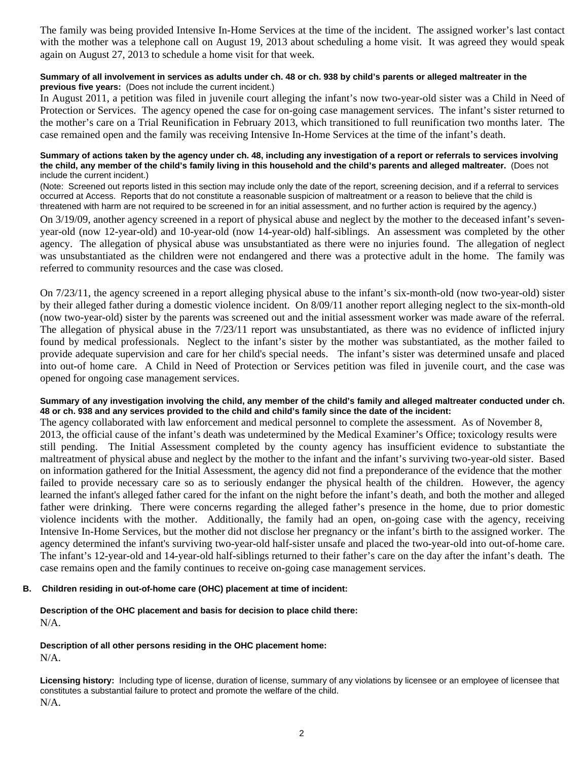The family was being provided Intensive In-Home Services at the time of the incident. The assigned worker's last contact with the mother was a telephone call on August 19, 2013 about scheduling a home visit. It was agreed they would speak again on August 27, 2013 to schedule a home visit for that week.

### **Summary of all involvement in services as adults under ch. 48 or ch. 938 by child's parents or alleged maltreater in the previous five years:** (Does not include the current incident.)

In August 2011, a petition was filed in juvenile court alleging the infant's now two-year-old sister was a Child in Need of Protection or Services. The agency opened the case for on-going case management services. The infant's sister returned to the mother's care on a Trial Reunification in February 2013, which transitioned to full reunification two months later. The case remained open and the family was receiving Intensive In-Home Services at the time of the infant's death.

#### **Summary of actions taken by the agency under ch. 48, including any investigation of a report or referrals to services involving the child, any member of the child's family living in this household and the child's parents and alleged maltreater.** (Does not include the current incident.)

(Note: Screened out reports listed in this section may include only the date of the report, screening decision, and if a referral to services occurred at Access. Reports that do not constitute a reasonable suspicion of maltreatment or a reason to believe that the child is threatened with harm are not required to be screened in for an initial assessment, and no further action is required by the agency.)

On 3/19/09, another agency screened in a report of physical abuse and neglect by the mother to the deceased infant's sevenyear-old (now 12-year-old) and 10-year-old (now 14-year-old) half-siblings. An assessment was completed by the other agency. The allegation of physical abuse was unsubstantiated as there were no injuries found. The allegation of neglect was unsubstantiated as the children were not endangered and there was a protective adult in the home. The family was referred to community resources and the case was closed.

On 7/23/11, the agency screened in a report alleging physical abuse to the infant's six-month-old (now two-year-old) sister by their alleged father during a domestic violence incident. On 8/09/11 another report alleging neglect to the six-month-old (now two-year-old) sister by the parents was screened out and the initial assessment worker was made aware of the referral. The allegation of physical abuse in the 7/23/11 report was unsubstantiated, as there was no evidence of inflicted injury found by medical professionals. Neglect to the infant's sister by the mother was substantiated, as the mother failed to provide adequate supervision and care for her child's special needs. The infant's sister was determined unsafe and placed into out-of home care. A Child in Need of Protection or Services petition was filed in juvenile court, and the case was opened for ongoing case management services.

### **Summary of any investigation involving the child, any member of the child's family and alleged maltreater conducted under ch. 48 or ch. 938 and any services provided to the child and child's family since the date of the incident:**

The agency collaborated with law enforcement and medical personnel to complete the assessment. As of November 8, 2013, the official cause of the infant's death was undetermined by the Medical Examiner's Office; toxicology results were still pending. The Initial Assessment completed by the county agency has insufficient evidence to substantiate the maltreatment of physical abuse and neglect by the mother to the infant and the infant's surviving two-year-old sister. Based on information gathered for the Initial Assessment, the agency did not find a preponderance of the evidence that the mother failed to provide necessary care so as to seriously endanger the physical health of the children. However, the agency learned the infant's alleged father cared for the infant on the night before the infant's death, and both the mother and alleged father were drinking. There were concerns regarding the alleged father's presence in the home, due to prior domestic violence incidents with the mother. Additionally, the family had an open, on-going case with the agency, receiving Intensive In-Home Services, but the mother did not disclose her pregnancy or the infant's birth to the assigned worker. The agency determined the infant's surviving two-year-old half-sister unsafe and placed the two-year-old into out-of-home care. The infant's 12-year-old and 14-year-old half-siblings returned to their father's care on the day after the infant's death. The case remains open and the family continues to receive on-going case management services.

### **B. Children residing in out-of-home care (OHC) placement at time of incident:**

### **Description of the OHC placement and basis for decision to place child there:** N/A.

### **Description of all other persons residing in the OHC placement home:**

N/A.

**Licensing history:** Including type of license, duration of license, summary of any violations by licensee or an employee of licensee that constitutes a substantial failure to protect and promote the welfare of the child. N/A.